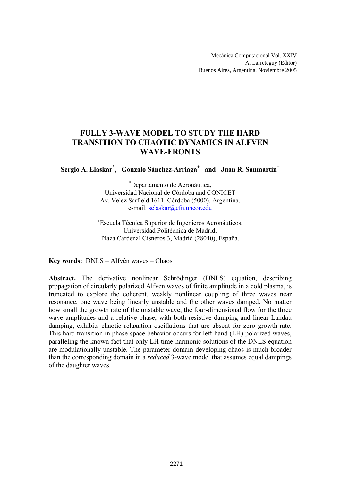# **FULLY 3-WAVE MODEL TO STUDY THE HARD TRANSITION TO CHAOTIC DYNAMICS IN ALFVEN WAVE-FRONTS**

## **Sergio A. Elaskar\* , Gonzalo Sánchez-Arriaga+ and Juan R. Sanmartín<sup>+</sup>**

\* Departamento de Aeronáutica, Universidad Nacional de Córdoba and CONICET Av. Velez Sarfield 1611. Córdoba (5000). Argentina. e-mail: selaskar@efn.uncor.edu

+ Escuela Técnica Superior de Ingenieros Aeronáuticos, Universidad Politécnica de Madrid, Plaza Cardenal Cisneros 3, Madrid (28040), España.

**Key words:** DNLS – Alfvén waves – Chaos

**Abstract.** The derivative nonlinear Schrödinger (DNLS) equation, describing propagation of circularly polarized Alfven waves of finite amplitude in a cold plasma, is truncated to explore the coherent, weakly nonlinear coupling of three waves near resonance, one wave being linearly unstable and the other waves damped. No matter how small the growth rate of the unstable wave, the four-dimensional flow for the three wave amplitudes and a relative phase, with both resistive damping and linear Landau damping, exhibits chaotic relaxation oscillations that are absent for zero growth-rate. This hard transition in phase-space behavior occurs for left-hand (LH) polarized waves, paralleling the known fact that only LH time-harmonic solutions of the DNLS equation are modulationally unstable. The parameter domain developing chaos is much broader than the corresponding domain in a *reduced* 3-wave model that assumes equal dampings of the daughter waves.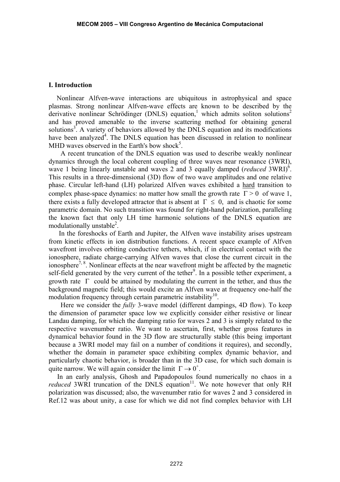### **I. Introduction**

Nonlinear Alfven-wave interactions are ubiquitous in astrophysical and space plasmas. Strong nonlinear Alfven-wave effects are known to be described by the derivative nonlinear Schrödinger (DNLS) equation,<sup>1</sup> which admits soliton solutions<sup>2</sup> and has proved amenable to the inverse scattering method for obtaining general solutions<sup>3</sup>. A variety of behaviors allowed by the DNLS equation and its modifications have been analyzed<sup>4</sup>. The DNLS equation has been discussed in relation to nonlinear MHD waves observed in the Earth's bow shock<sup>5</sup>.

 A recent truncation of the DNLS equation was used to describe weakly nonlinear dynamics through the local coherent coupling of three waves near resonance (3WRI), wave 1 being linearly unstable and waves 2 and 3 equally damped (*reduced* 3WRI)<sup>6</sup>. This results in a three-dimensional (3D) flow of two wave amplitudes and one relative phase. Circular left-hand (LH) polarized Alfven waves exhibited a hard transition to complex phase-space dynamics: no matter how small the growth rate  $\Gamma > 0$  of wave 1, there exists a fully developed attractor that is absent at  $\Gamma \leq 0$ , and is chaotic for some parametric domain. No such transition was found for right-hand polarization, paralleling the known fact that only LH time harmonic solutions of the DNLS equation are modulationally unstable<sup>2</sup>.

 In the foreshocks of Earth and Jupiter, the Alfven wave instability arises upstream from kinetic effects in ion distribution functions. A recent space example of Alfven wavefront involves orbiting conductive tethers, which, if in electrical contact with the ionosphere, radiate charge-carrying Alfven waves that close the current circuit in the ionosphere<sup>7, 8</sup>. Nonlinear effects at the near wavefront might be affected by the magnetic self-field generated by the very current of the tether<sup>9</sup>. In a possible tether experiment, a growth rate  $\Gamma$  could be attained by modulating the current in the tether, and thus the background magnetic field; this would excite an Alfven wave at frequency one-half the modulation frequency through certain parametric instability<sup>10</sup>.

 Here we consider the *fully* 3-wave model (different dampings, 4D flow). To keep the dimension of parameter space low we explicitly consider either resistive or linear Landau damping, for which the damping ratio for waves 2 and 3 is simply related to the respective wavenumber ratio. We want to ascertain, first, whether gross features in dynamical behavior found in the 3D flow are structurally stable (this being important because a 3WRI model may fail on a number of conditions it requires), and secondly, whether the domain in parameter space exhibiting complex dynamic behavior, and particularly chaotic behavior, is broader than in the 3D case, for which such domain is quite narrow. We will again consider the limit  $\Gamma \rightarrow 0^+$ .

 In an early analysis, Ghosh and Papadopoulos found numerically no chaos in a *reduced* 3WRI truncation of the DNLS equation<sup>11</sup>. We note however that only RH polarization was discussed; also, the wavenumber ratio for waves 2 and 3 considered in Ref.12 was about unity, a case for which we did not find complex behavior with LH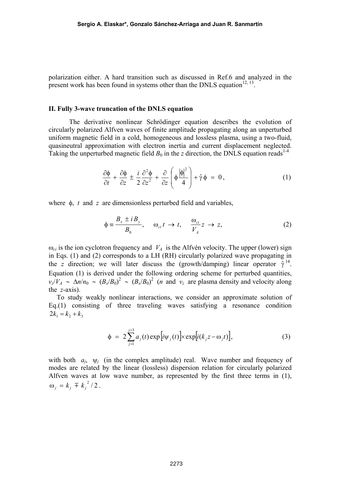polarization either. A hard transition such as discussed in Ref.6 and analyzed in the present work has been found in systems other than the DNLS equation<sup>12, 13</sup>.

#### **II. Fully 3-wave truncation of the DNLS equation**

The derivative nonlinear Schrödinger equation describes the evolution of circularly polarized Alfven waves of finite amplitude propagating along an unperturbed uniform magnetic field in a cold, homogeneous and lossless plasma, using a two-fluid, quasineutral approximation with electron inertia and current displacement neglected. Taking the unperturbed magnetic field  $B_0$  in the *z* direction, the DNLS equation reads<sup>1-4</sup>

$$
\frac{\partial \phi}{\partial t} + \frac{\partial \phi}{\partial z} \pm \frac{i}{2} \frac{\partial^2 \phi}{\partial z^2} + \frac{\partial}{\partial z} \left( \phi \frac{|\phi|^2}{4} \right) + \hat{\gamma} \phi = 0, \qquad (1)
$$

where φ, *t* and *z* are dimensionless perturbed field and variables,

$$
\phi = \frac{B_x \pm i B_y}{B_0}, \quad \omega_{ci} \, t \to t, \quad \frac{\omega_{ci}}{V_A} z \to z,\tag{2}
$$

 $\omega_{ci}$  is the ion cyclotron frequency and  $V_A$  is the Alfvén velocity. The upper (lower) sign in Eqs. (1) and (2) corresponds to a LH (RH) circularly polarized wave propagating in the *z* direction; we will later discuss the (growth/damping) linear operator  $\hat{\gamma}^{14}$ . Equation (1) is derived under the following ordering scheme for perturbed quantities,  $v_z/V_A \sim \Delta n/n_0 \sim (B_x/B_0)^2 \sim (B_x/B_0)^2$  (*n* and  $v_z$  are plasma density and velocity along the *z*-axis).

To study weakly nonlinear interactions, we consider an approximate solution of Eq.(1) consisting of three traveling waves satisfying a resonance condition  $2k_1 = k_2 + k_3$ 

$$
\phi = 2\sum_{j=1}^{j=3} a_j(t) \exp[i\psi_j(t)] \times \exp[i(k_j z - \omega_j t)], \qquad (3)
$$

with both  $a_i$ ,  $\psi_i$  (in the complex amplitude) real. Wave number and frequency of modes are related by the linear (lossless) dispersion relation for circularly polarized Alfven waves at low wave number, as represented by the first three terms in (1),  $\omega_j = k_j \mp k_j^2/2$ .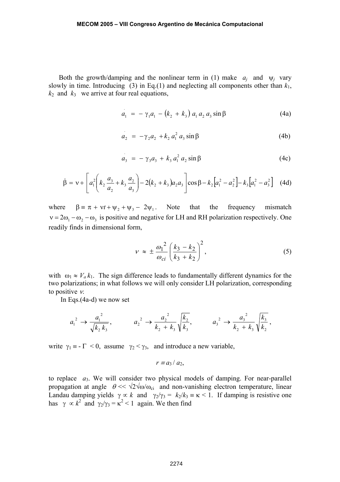Both the growth/damping and the nonlinear term in (1) make  $a_i$  and  $\psi_i$  vary slowly in time. Introducing (3) in Eq.(1) and neglecting all components other than  $k_1$ ,  $k_2$  and  $k_3$  we arrive at four real equations,

$$
a_1 = -\gamma_1 a_1 - (k_2 + k_3) a_1 a_2 a_3 \sin \beta \tag{4a}
$$

$$
a_2 = -\gamma_2 a_2 + k_2 a_1^2 a_3 \sin \beta \tag{4b}
$$

$$
a_3 = -\gamma_3 a_3 + k_3 a_1^2 a_2 \sin \beta \tag{4c}
$$

$$
\dot{\beta} = v + \left[ a_1^2 \left( k_2 \frac{a_3}{a_2} + k_3 \frac{a_2}{a_3} \right) - 2(k_2 + k_3) a_2 a_3 \right] \cos \beta - k_2 \left[ a_1^2 - a_2^2 \right] - k_3 \left[ a_1^2 - a_3^2 \right] \tag{4d}
$$

where  $\beta = \pi + vt + \psi_1 + \psi_3 - 2\psi_1$ . Note that the frequency mismatch  $v = 2\omega_1 - \omega_2 - \omega_3$  is positive and negative for LH and RH polarization respectively. One readily finds in dimensional form,

$$
v \approx \pm \frac{\omega_1^2}{\omega_{ci}} \left(\frac{k_3 - k_2}{k_3 + k_2}\right)^2, \tag{5}
$$

with  $\omega_1 \approx V_a k_1$ . The sign difference leads to fundamentally different dynamics for the two polarizations; in what follows we will only consider LH polarization, corresponding to positive ν.

In Eqs.(4a-d) we now set

$$
a_1^2 \rightarrow \frac{a_1^2}{\sqrt{k_2 k_3}}
$$
,  $a_2^2 \rightarrow \frac{a_2^2}{k_2 + k_3} \sqrt{\frac{k_2}{k_3}}$ ,  $a_3^2 \rightarrow \frac{a_3^2}{k_2 + k_3} \sqrt{\frac{k_3}{k_2}}$ ,

write  $\gamma_1 = -\Gamma < 0$ , assume  $\gamma_2 < \gamma_3$ , and introduce a new variable,

$$
r \equiv a_3 / a_2,
$$

to replace *a*3. We will consider two physical models of damping. For near-parallel propagation at angle  $\theta \ll \sqrt{2} \sqrt{\omega/\omega_{ci}}$  and non-vanishing electron temperature, linear Landau damping yields  $\gamma \propto k$  and  $\gamma_2/\gamma_3 = k_2/k_3 \equiv \kappa < 1$ . If damping is resistive one has  $\gamma \propto k^2$  and  $\gamma_2/\gamma_3 = \kappa^2 < 1$  again. We then find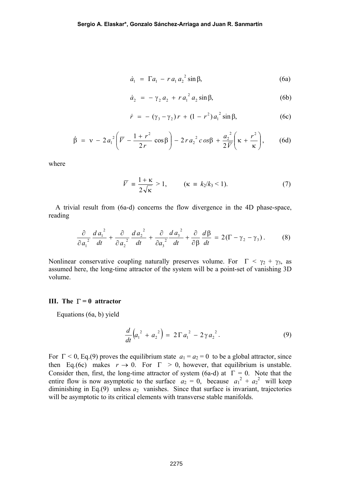$$
\dot{a}_1 = \Gamma a_1 - r a_1 a_2^2 \sin \beta, \tag{6a}
$$

$$
\dot{a}_2 = -\gamma_2 a_2 + r a_1^2 a_2 \sin \beta, \tag{6b}
$$

$$
\dot{r} = -(\gamma_3 - \gamma_2) r + (1 - r^2) a_1^2 \sin \beta, \tag{6c}
$$

$$
\dot{\beta} = v - 2 a_1^2 \left( \overline{V} - \frac{1+r^2}{2r} \cos \beta \right) - 2 r a_2^2 c \cos \beta + \frac{a_2^2}{2 \overline{V}} \left( \kappa + \frac{r^2}{\kappa} \right), \qquad (6d)
$$

where

$$
\overline{V} = \frac{1+\kappa}{2\sqrt{\kappa}} > 1, \qquad (\kappa = k_2/k_3 < 1). \tag{7}
$$

 A trivial result from (6a-d) concerns the flow divergence in the 4D phase-space, reading

$$
\frac{\partial}{\partial a_1^2} \frac{d a_1^2}{dt} + \frac{\partial}{\partial a_2^2} \frac{d a_2^2}{dt} + \frac{\partial}{\partial a_3^2} \frac{d a_3^2}{dt} + \frac{\partial}{\partial \beta} \frac{d \beta}{dt} = 2(\Gamma - \gamma_2 - \gamma_3). \tag{8}
$$

Nonlinear conservative coupling naturally preserves volume. For  $\Gamma < \gamma_2 + \gamma_3$ , as assumed here, the long-time attractor of the system will be a point-set of vanishing 3D volume.

### **III. The** Γ **= 0 attractor**

Equations (6a, b) yield

$$
\frac{d}{dt}\left(a_1^2 + a_2^2\right) = 2\Gamma a_1^2 - 2\gamma a_2^2.
$$
 (9)

For  $\Gamma$  < 0, Eq.(9) proves the equilibrium state  $a_1 = a_2 = 0$  to be a global attractor, since then Eq.(6c) makes  $r \to 0$ . For  $\Gamma > 0$ , however, that equilibrium is unstable. Consider then, first, the long-time attractor of system (6a-d) at Γ *=* 0. Note that the entire flow is now asymptotic to the surface  $a_2 = 0$ , because  $a_1^2 + a_2^2$  will keep diminishing in Eq.(9) unless  $a_2$  vanishes. Since that surface is invariant, trajectories will be asymptotic to its critical elements with transverse stable manifolds.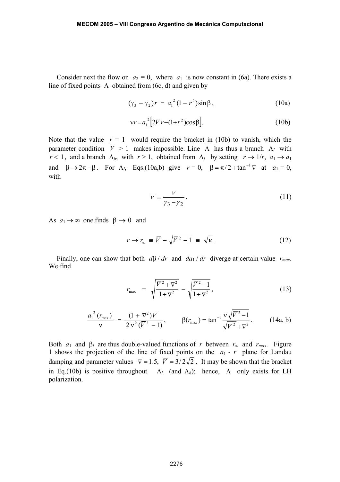Consider next the flow on  $a_2 = 0$ , where  $a_1$  is now constant in (6a). There exists a line of fixed points  $\Lambda$  obtained from (6c, d) and given by

$$
(\gamma_3 - \gamma_2)r = a_1^2 (1 - r^2) \sin \beta, \qquad (10a)
$$

$$
\mathsf{v}r = a_1^2 \Big[ 2\overline{V}r - (1 + r^2)\cos\beta \Big].\tag{10b}
$$

Note that the value  $r = 1$  would require the bracket in (10b) to vanish, which the parameter condition  $\overline{V} > 1$  makes impossible. Line Λ has thus a branch Λ<sub>l</sub> with *r* < 1, and a branch  $\Lambda_h$ , with  $r > 1$ , obtained from  $\Lambda_l$  by setting  $r \to 1/r$ ,  $a_1 \to a_1$ and  $\beta \rightarrow 2\pi - \beta$ . For  $\Lambda_l$ , Eqs.(10a,b) give  $r = 0$ ,  $\beta = \pi/2 + \tan^{-1} \overline{v}$  at  $a_1 = 0$ , with

$$
\overline{v} \equiv \frac{v}{\gamma_3 - \gamma_2} \,. \tag{11}
$$

As  $a_1 \rightarrow \infty$  one finds  $\beta \rightarrow 0$  and

$$
r \to r_{\infty} \equiv \overline{V} - \sqrt{\overline{V}^2 - 1} \equiv \sqrt{\kappa} \ . \tag{12}
$$

Finally, one can show that both *d*β / *dr* and *da*1 / *dr* diverge at certain value *rmax*. We find

$$
r_{\max} = \sqrt{\frac{\overline{V}^2 + \overline{v}^2}{1 + \overline{v}^2}} - \sqrt{\frac{\overline{V}^2 - 1}{1 + \overline{v}^2}},
$$
\n(13)

$$
\frac{a_1^2 (r_{\text{max}})}{v} = \frac{(1 + \overline{v}^2) \overline{V}}{2 \overline{v}^2 (\overline{V}^2 - 1)}, \qquad \beta(r_{\text{max}}) = \tan^{-1} \frac{\overline{v} \sqrt{\overline{V}^2 - 1}}{\sqrt{\overline{V}^2 + \overline{v}^2}}.
$$
 (14a, b)

Both  $a_1$  and  $\beta_l$  are thus double-valued functions of *r* between  $r_\infty$  and  $r_{max}$ . Figure 1 shows the projection of the line of fixed points on the *a*1 - *r* plane for Landau damping and parameter values  $\overline{v} = 1.5$ ,  $\overline{V} = 3/2\sqrt{2}$ . It may be shown that the bracket in Eq.(10b) is positive throughout  $\Lambda_l$  (and  $\Lambda_h$ ); hence,  $\Lambda$  only exists for LH polarization.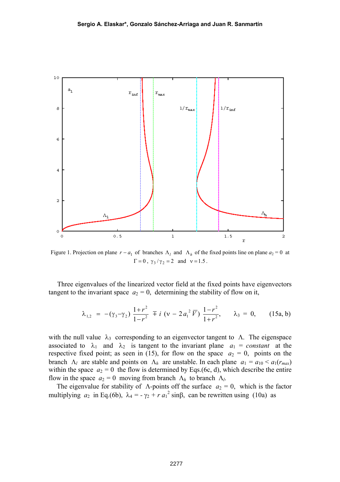

Figure 1. Projection on plane  $r - a_1$  of branches  $\Lambda_l$  and  $\Lambda_h$  of the fixed points line on plane  $a_2 = 0$  at  $\Gamma = 0$ ,  $\gamma_3 / \gamma_2 = 2$  and  $v = 1.5$ .

 Three eigenvalues of the linearized vector field at the fixed points have eigenvectors tangent to the invariant space  $a_2 = 0$ , determining the stability of flow on it,

$$
\lambda_{1,2} = -(\gamma_3 - \gamma_2) \frac{1+r^2}{1-r^2} \mp i \ (v - 2 a_1^2 \ \overline{V}) \ \frac{1-r^2}{1+r^2}, \qquad \lambda_3 = 0, \qquad (15a, b)
$$

with the null value  $\lambda_3$  corresponding to an eigenvector tangent to  $\Lambda$ . The eigenspace associated to  $\lambda_1$  and  $\lambda_2$  is tangent to the invariant plane  $a_1 = constant$  at the respective fixed point; as seen in (15), for flow on the space  $a_2 = 0$ , points on the branch  $\Lambda_l$  are stable and points on  $\Lambda_h$  are unstable. In each plane  $a_1 = a_{10} < a_1(r_{max})$ within the space  $a_2 = 0$  the flow is determined by Eqs.(6c, d), which describe the entire flow in the space  $a_2 = 0$  moving from branch  $\Lambda_h$  to branch  $\Lambda_l$ .

The eigenvalue for stability of  $\Lambda$ -points off the surface  $a_2 = 0$ , which is the factor multiplying  $a_2$  in Eq.(6b),  $\lambda_4 = -\gamma_2 + r a_1^2 \sin\beta$ , can be rewritten using (10a) as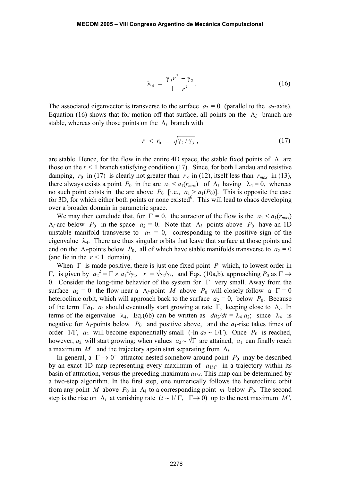$$
\lambda_4 = \frac{\gamma_3 r^2 - \gamma_2}{1 - r^2}.
$$
 (16)

The associated eigenvector is transverse to the surface  $a_2 = 0$  (parallel to the  $a_2$ -axis). Equation (16) shows that for motion off that surface, all points on the  $\Lambda_h$  branch are stable, whereas only those points on the  $\Lambda_l$  branch with

$$
r \, < \, r_0 \, \equiv \, \sqrt{\gamma_2 / \gamma_3} \,, \tag{17}
$$

are stable. Hence, for the flow in the entire 4D space, the stable fixed points of Λare those on the  $r < 1$  branch satisfying condition (17). Since, for both Landau and resistive damping,  $r_0$  in (17) is clearly not greater than  $r_\infty$  in (12), itself less than  $r_{max}$  in (13), there always exists a point  $P_0$  in the arc  $a_1 < a_1(r_{max})$  of  $\Lambda_l$  having  $\lambda_4 = 0$ , whereas no such point exists in the arc above  $P_0$  [i.e.,  $a_1 > a_1(P_0)$ ]. This is opposite the case for 3D, for which either both points or none existed<sup>6</sup>. This will lead to chaos developing over a broader domain in parametric space.

We may then conclude that, for  $\Gamma = 0$ , the attractor of the flow is the  $a_1 < a_1(r_{max})$  $\Lambda_l$ -arc below  $P_0$  in the space  $a_2 = 0$ . Note that  $\Lambda_l$  points above  $P_0$  have an 1D unstable manifold transverse to  $a_2 = 0$ , corresponding to the positive sign of the eigenvalue  $\lambda_4$ . There are thus singular orbits that leave that surface at those points and end on the  $\Lambda_l$ -points below  $P_0$ , all of which have stable manifolds transverse to  $a_2 = 0$ (and lie in the  $r < 1$  domain).

When Γ is made positive, there is just one fixed point *P* which, to lowest order in  $Γ$ , is given by  $a_2^2 = Γ \times a_1^2/\gamma_2$ ,  $r = \sqrt{\gamma_2/\gamma_3}$ , and Eqs. (10a,b), approaching  $P_0$  as Γ → 0. Consider the long-time behavior of the system for Γ very small. Away from the surface  $a_2 = 0$  the flow near a  $\Lambda_l$ -point *M* above  $P_0$  will closely follow a  $\Gamma = 0$ heteroclinic orbit, which will approach back to the surface  $a_2 = 0$ , below  $P_0$ . Because of the term  $\Gamma a_1$ ,  $a_1$  should eventually start growing at rate  $\Gamma$ , keeping close to  $\Lambda_l$ . In terms of the eigenvalue  $\lambda_4$ , Eq.(6b) can be written as  $da_2/dt = \lambda_4 a_2$ ; since  $\lambda_4$  is negative for  $\Lambda$ <sup>*l*</sup>-points below  $P_0$  and positive above, and the  $a_1$ -rise takes times of order 1/Γ,  $a_2$  will become exponentially small (-ln  $a_2 \sim 1/\Gamma$ ). Once  $P_0$  is reached, however,  $a_2$  will start growing; when values  $a_2 \sim \sqrt{\Gamma}$  are attained,  $a_1$  can finally reach a maximum *M*' and the trajectory again start separating from Λ*l*.

In general, a  $\Gamma \rightarrow 0^+$  attractor nested somehow around point  $P_0$  may be described by an exact 1D map representing every maximum of  $a_{1M'}$  in a trajectory within its basin of attraction, versus the preceding maximum  $a_{1M}$ . This map can be determined by a two-step algorithm. In the first step, one numerically follows the heteroclinic orbit from any point *M* above  $P_0$  in  $\Lambda_l$  to a corresponding point *m* below  $P_0$ . The second step is the rise on  $\Lambda_l$  at vanishing rate  $(t \sim 1/\Gamma, \Gamma \rightarrow 0)$  up to the next maximum *M'*,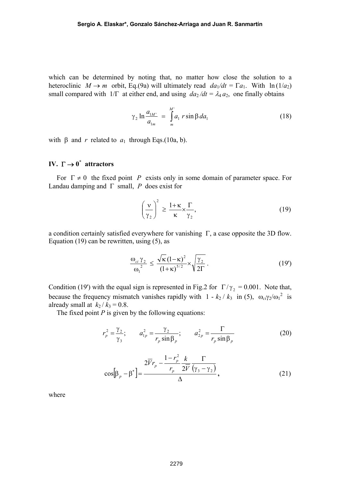which can be determined by noting that, no matter how close the solution to a heteroclinic  $M \to m$  orbit, Eq.(9a) will ultimately read  $da_1/dt = \Gamma a_1$ . With  $\ln(1/a_2)$ small compared with  $1/\Gamma$  at either end, and using  $da_2/dt = \lambda_4 a_2$ , one finally obtains

$$
\gamma_2 \ln \frac{a_{1M'}}{a_{1m}} = \int_{m}^{M'} a_1 r \sin \beta \, da_1 \tag{18}
$$

with β and *r* related to  $a_1$  through Eqs.(10a, b).

## **IV.**  $\Gamma \rightarrow 0^*$  attractors

For  $\Gamma \neq 0$  the fixed point *P* exists only in some domain of parameter space. For Landau damping and Γ small, *P* does exist for

$$
\left(\frac{\nu}{\gamma_2}\right)^2 \ge \frac{1+\kappa}{\kappa} \times \frac{\Gamma}{\gamma_2},\tag{19}
$$

a condition certainly satisfied everywhere for vanishing Γ, a case opposite the 3D flow. Equation (19) can be rewritten, using (5), as

$$
\frac{\omega_{ci}\gamma_2}{\omega_1^2} \le \frac{\sqrt{\kappa}\left(1-\kappa\right)^2}{\left(1+\kappa\right)^{5/2}} \times \sqrt{\frac{\gamma_2}{2\Gamma}}\,. \tag{19'}
$$

Condition (19') with the equal sign is represented in Fig.2 for  $\Gamma/\gamma$ , = 0.001. Note that, because the frequency mismatch vanishes rapidly with  $1 - k_2 / k_3$  in (5),  $\omega_c \gamma_2 / \omega_1^2$  is already small at  $k_2 / k_3 = 0.8$ .

The fixed point  $P$  is given by the following equations:

$$
r_p^2 = \frac{\gamma_2}{\gamma_3}; \qquad a_{1p}^2 = \frac{\gamma_2}{r_p \sin \beta_p}; \qquad a_{2p}^2 = \frac{\Gamma}{r_p \sin \beta_p}
$$
 (20)

$$
\cos[\beta_p - \beta^*] = \frac{2\overline{V}r_p - \frac{1 - r_p^2}{r_p} \frac{k}{2\overline{V}} \frac{\Gamma}{(\gamma_3 - \gamma_2)}}{\Delta},
$$
\n(21)

where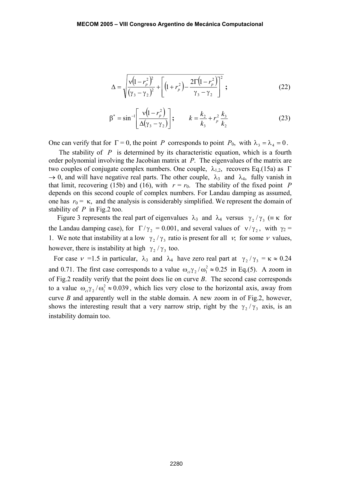$$
\Delta = \sqrt{\frac{v(1 - r_p^2)^2}{(\gamma_3 - \gamma_2)^2} + \left[ (1 + r_p^2) - \frac{2\Gamma(1 - r_p^2)}{\gamma_3 - \gamma_2} \right]^2} ;
$$
 (22)

$$
\beta^* = \sin^{-1} \left[ \frac{\nu (1 - r_p^2)}{\Delta (\gamma_3 - \gamma_2)} \right]; \qquad k = \frac{k_2}{k_3} + r_p^2 \frac{k_3}{k_2} \tag{23}
$$

One can verify that for  $\Gamma = 0$ , the point *P* corresponds to point  $P_0$ , with  $\lambda_3 = \lambda_4 = 0$ .

The stability of *P* is determined by its characteristic equation, which is a fourth order polynomial involving the Jacobian matrix at *P*. The eigenvalues of the matrix are two couples of conjugate complex numbers. One couple,  $\lambda_{1,2}$ , recovers Eq.(15a) as Γ  $\rightarrow$  0, and will have negative real parts. The other couple,  $\lambda_3$  and  $\lambda_4$ , fully vanish in that limit, recovering (15b) and (16), with  $r = r_0$ . The stability of the fixed point *P* depends on this second couple of complex numbers. For Landau damping as assumed, one has  $r_0 = \kappa$ , and the analysis is considerably simplified. We represent the domain of stability of *P* in Fig.2 too.

Figure 3 represents the real part of eigenvalues  $\lambda_3$  and  $\lambda_4$  versus  $\gamma_2 / \gamma_3$  (=  $\kappa$  for the Landau damping case), for  $\Gamma/\gamma$ , = 0.001, and several values of  $v/\gamma$ , with  $\gamma_2$  = 1. We note that instability at a low  $\gamma_2 / \gamma_3$  ratio is present for all  $\nu$ , for some  $\nu$  values, however, there is instability at high  $\gamma$ ,  $\gamma$ , too.

For case  $v = 1.5$  in particular,  $\lambda_3$  and  $\lambda_4$  have zero real part at  $\gamma_2 / \gamma_3 = \kappa \approx 0.24$ and 0.71. The first case corresponds to a value  $\omega_{ci}\gamma_2/\omega_1^2 \approx 0.25$  in Eq.(5). A zoom in of Fig.2 readily verify that the point does lie on curve *B*. The second case corresponds to a value  $\omega_{ci}\gamma_2/\omega_1^2 \approx 0.039$ , which lies very close to the horizontal axis, away from curve *B* and apparently well in the stable domain. A new zoom in of Fig.2, however, shows the interesting result that a very narrow strip, right by the  $\gamma_2 / \gamma_3$  axis, is an instability domain too.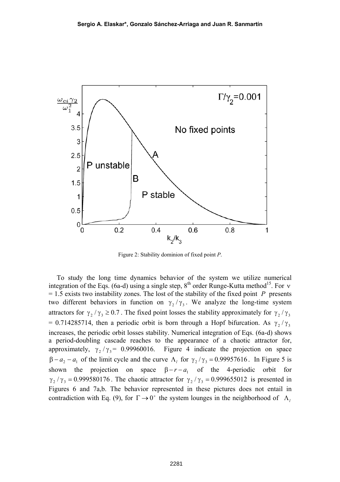

Figure 2: Stability dominion of fixed point *P*.

To study the long time dynamics behavior of the system we utilize numerical integration of the Eqs. (6a-d) using a single step, 8<sup>th</sup> order Runge-Kutta method<sup>15</sup>. For *v*  $= 1.5$  exists two instability zones. The lost of the stability of the fixed point *P* presents two different behaviors in function on  $\gamma_2/\gamma_3$ . We analyze the long-time system attractors for  $\gamma_2/\gamma_3 \ge 0.7$ . The fixed point losses the stability approximately for  $\gamma_2/\gamma_3$ = 0.714285714, then a periodic orbit is born through a Hopf bifurcation. As  $\gamma$ ,  $/\gamma$ , increases, the periodic orbit losses stability. Numerical integration of Eqs. (6a-d) shows a period-doubling cascade reaches to the appearance of a chaotic attractor for, approximately,  $\gamma_2 / \gamma_3 = 0.99960016$ . Figure 4 indicate the projection on space  $\beta - a_2 - a_1$  of the limit cycle and the curve  $\Lambda_i$  for  $\gamma_2/\gamma_3 = 0.99957616$ . In Figure 5 is shown the projection on space  $\beta - r - a_1$  of the 4-periodic orbit for  $\gamma_2/\gamma_3 = 0.999580176$ . The chaotic attractor for  $\gamma_2/\gamma_3 = 0.999655012$  is presented in Figures 6 and 7a,b. The behavior represented in these pictures does not entail in contradiction with Eq. (9), for  $\Gamma \rightarrow 0^+$  the system lounges in the neighborhood of  $\Lambda$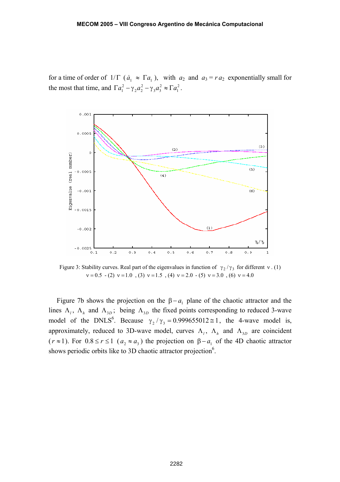for a time of order of  $1/\Gamma$  ( $\dot{a}_1 \approx \Gamma a_1$ ), with  $a_2$  and  $a_3 = r a_2$  exponentially small for the most that time, and  $\Gamma a_1^2 - \gamma_2 a_2^2 - \gamma_3 a_3^2 \approx \Gamma a_1^2$ 2  $3^{\mu_3}$ 2  $\Gamma a_1^2 - \gamma_2 a_2^2 - \gamma_3 a_3^2 \approx \Gamma a_1^2$ .



Figure 3: Stability curves. Real part of the eigenvalues in function of  $\gamma_2/\gamma_3$  for different v. (1)  $v = 0.5 - (2) v = 1.0$ , (3)  $v = 1.5$ , (4)  $v = 2.0 - (5) v = 3.0$ , (6)  $v = 4.0$ 

Figure 7b shows the projection on the  $\beta - a_1$  plane of the chaotic attractor and the lines  $\Lambda_l$ ,  $\Lambda_h$  and  $\Lambda_{3D}$ ; being  $\Lambda_{3D}$  the fixed points corresponding to reduced 3-wave model of the DNLS<sup>6</sup>. Because  $\gamma_2/\gamma_3 = 0.999655012 \approx 1$ , the 4-wave model is, approximately, reduced to 3D-wave model, curves  $\Lambda_l$ ,  $\Lambda_h$  and  $\Lambda_{3D}$  are coincident ( $r \approx 1$ ). For  $0.8 \le r \le 1$  ( $a_2 \approx a_3$ ) the projection on  $\beta - a_1$  of the 4D chaotic attractor shows periodic orbits like to 3D chaotic attractor projection<sup>6</sup>.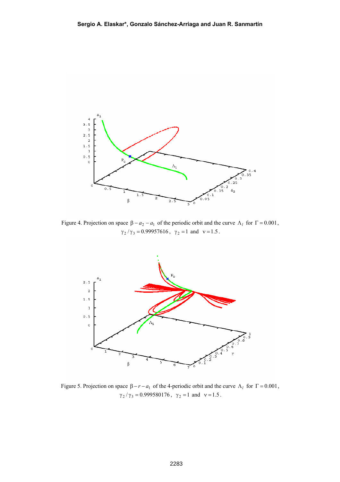

Figure 4. Projection on space  $\beta - a_2 - a_1$  of the periodic orbit and the curve  $\Lambda_l$  for  $\Gamma = 0.001$ ,  $\gamma_2/\gamma_3 = 0.99957616$ ,  $\gamma_2 = 1$  and  $v = 1.5$ .



Figure 5. Projection on space  $\beta - r - a_1$  of the 4-periodic orbit and the curve  $\Lambda_l$  for  $\Gamma = 0.001$ ,  $\gamma_2/\gamma_3 = 0.999580176$ ,  $\gamma_2 = 1$  and  $v = 1.5$ .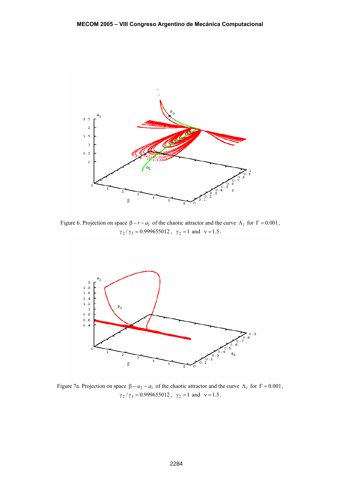

Figure 6. Projection on space  $\beta - r - a_1$  of the chaotic attractor and the curve  $\Lambda_l$  for  $\Gamma = 0.001$ ,  $\gamma_2/\gamma_3 = 0.999655012$ ,  $\gamma_2 = 1$  and  $v = 1.5$ .



Figure 7a. Projection on space  $\beta - a_2 - a_1$  of the chaotic attractor and the curve  $\Lambda_l$  for  $\Gamma = 0.001$ ,  $\gamma_2/\gamma_3 = 0.999655012$ ,  $\gamma_2 = 1$  and  $v = 1.5$ .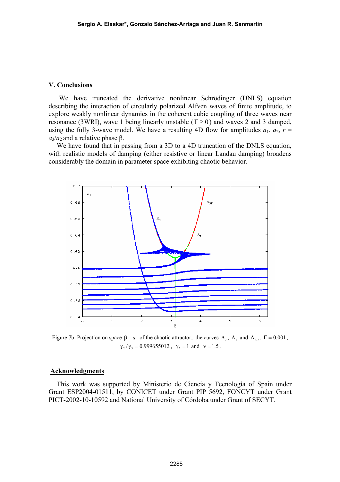#### **V. Conclusions**

 We have truncated the derivative nonlinear Schrödinger (DNLS) equation describing the interaction of circularly polarized Alfven waves of finite amplitude, to explore weakly nonlinear dynamics in the coherent cubic coupling of three waves near resonance (3WRI), wave 1 being linearly unstable ( $\Gamma \ge 0$ ) and waves 2 and 3 damped, using the fully 3-wave model. We have a resulting 4D flow for amplitudes  $a_1, a_2, r =$  $a_3/a_2$  and a relative phase β.

We have found that in passing from a 3D to a 4D truncation of the DNLS equation, with realistic models of damping (either resistive or linear Landau damping) broadens considerably the domain in parameter space exhibiting chaotic behavior.



Figure 7b. Projection on space  $β - a_1$  of the chaotic attractor, the curves  $Λ_1$ ,  $Λ_2$  and  $Λ_{3D}$ . Γ = 0.001,  $\gamma$ ,  $/\gamma$ <sub>3</sub> = 0.999655012,  $\gamma$ <sub>2</sub> = 1 and  $v = 1.5$ .

### **Acknowledgments**

This work was supported by Ministerio de Ciencia y Tecnología of Spain under Grant ESP2004-01511, by CONICET under Grant PIP 5692, FONCYT under Grant PICT-2002-10-10592 and National University of Córdoba under Grant of SECYT.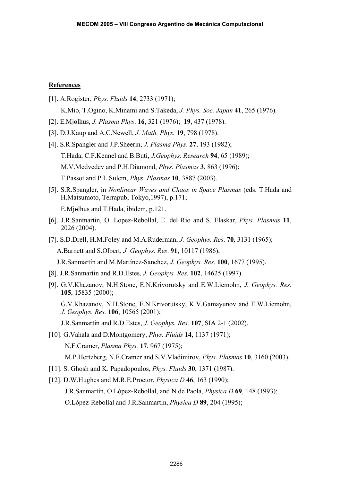### **References**

- [1]. A.Rogister, *Phys. Fluids* **14**, 2733 (1971); K.Mio, T.Ogino, K.Minami and S.Takeda, *J. Phys. Soc. Japan* **41**, 265 (1976).
- [2]. E.Mjolhus, *J. Plasma Phys*. **16**, 321 (1976); **19**, 437 (1978).
- [3]. D.J.Kaup and A.C.Newell, *J. Math. Phys.* **19**, 798 (1978).
- [4]. S.R.Spangler and J.P.Sheerin, *J. Plasma Phys*. **27**, 193 (1982); T.Hada, C.F.Kennel and B.Buti, *J.Geophys. Research* **94**, 65 (1989); M.V.Medvedev and P.H.Diamond, *Phys. Plasmas* **3**, 863 (1996); T.Passot and P.L.Sulem, *Phys. Plasmas* **10**, 3887 (2003).
- [5]. S.R.Spangler, in *Nonlinear Waves and Chaos in Space Plasmas* (eds. T.Hada and H.Matsumoto, Terrapub, Tokyo,1997), p.171;

E. Mjolhus and T. Hada, ibidem, p.121.

- [6]. J.R.Sanmartin, O. Lopez-Rebollal, E. del Rio and S. Elaskar, *Phys. Plasmas* **11**, 2026 (2004).
- [7]. S.D.Drell, H.M.Foley and M.A.Ruderman, *J. Geophys. Res*. **70***,* 3131 (1965); A.Barnett and S.Olbert, *J. Geophys. Res*. **91**, 10117 (1986);
- J.R.Sanmartín and M.Martínez-Sanchez, *J. Geophys. Res.* **100**, 1677 (1995).
- [8]. J.R.Sanmartin and R.D.Estes, *J. Geophys. Res.* **102**, 14625 (1997).
- [9]. G.V.Khazanov, N.H.Stone, E.N.Krivorutsky and E.W.Liemohn, *J. Geophys. Res.* **105**, 15835 (2000);

G.V.Khazanov, N.H.Stone, E.N.Krivorutsky, K.V.Gamayunov and E.W.Liemohn, *J. Geophys. Res.* **106**, 10565 (2001);

- J.R.Sanmartin and R.D.Estes, *J. Geophys. Res.* **107**, SIA 2-1 (2002).
- [10]. G.Vahala and D.Montgomery, *Phys. Fluids* **14**, 1137 (1971); N.F.Cramer, *Plasma Phys.* **17**, 967 (1975); M.P.Hertzberg, N.F.Cramer and S.V.Vladimirov, *Phys. Plasmas* **10**, 3160 (2003).
- [11]. S. Ghosh and K. Papadopoulos, *Phys. Fluids* **30**, 1371 (1987).
- [12]. D.W.Hughes and M.R.E.Proctor, *Physica D* **46**, 163 (1990); J.R.Sanmartín, O.López-Rebollal, and N.de Paola, *Physica D* **69**, 148 (1993); O.López-Rebollal and J.R.Sanmartín, *Physica D* **89**, 204 (1995);